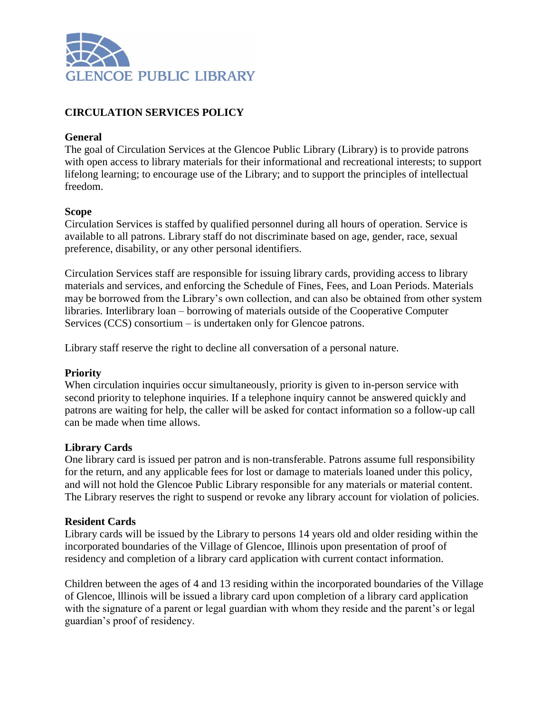

# **CIRCULATION SERVICES POLICY**

## **General**

The goal of Circulation Services at the Glencoe Public Library (Library) is to provide patrons with open access to library materials for their informational and recreational interests; to support lifelong learning; to encourage use of the Library; and to support the principles of intellectual freedom.

#### **Scope**

Circulation Services is staffed by qualified personnel during all hours of operation. Service is available to all patrons. Library staff do not discriminate based on age, gender, race, sexual preference, disability, or any other personal identifiers.

Circulation Services staff are responsible for issuing library cards, providing access to library materials and services, and enforcing the Schedule of Fines, Fees, and Loan Periods. Materials may be borrowed from the Library's own collection, and can also be obtained from other system libraries. Interlibrary loan – borrowing of materials outside of the Cooperative Computer Services (CCS) consortium – is undertaken only for Glencoe patrons.

Library staff reserve the right to decline all conversation of a personal nature.

## **Priority**

When circulation inquiries occur simultaneously, priority is given to in-person service with second priority to telephone inquiries. If a telephone inquiry cannot be answered quickly and patrons are waiting for help, the caller will be asked for contact information so a follow-up call can be made when time allows.

## **Library Cards**

One library card is issued per patron and is non-transferable. Patrons assume full responsibility for the return, and any applicable fees for lost or damage to materials loaned under this policy, and will not hold the Glencoe Public Library responsible for any materials or material content. The Library reserves the right to suspend or revoke any library account for violation of policies.

#### **Resident Cards**

Library cards will be issued by the Library to persons 14 years old and older residing within the incorporated boundaries of the Village of Glencoe, Illinois upon presentation of proof of residency and completion of a library card application with current contact information.

Children between the ages of 4 and 13 residing within the incorporated boundaries of the Village of Glencoe, lllinois will be issued a library card upon completion of a library card application with the signature of a parent or legal guardian with whom they reside and the parent's or legal guardian's proof of residency.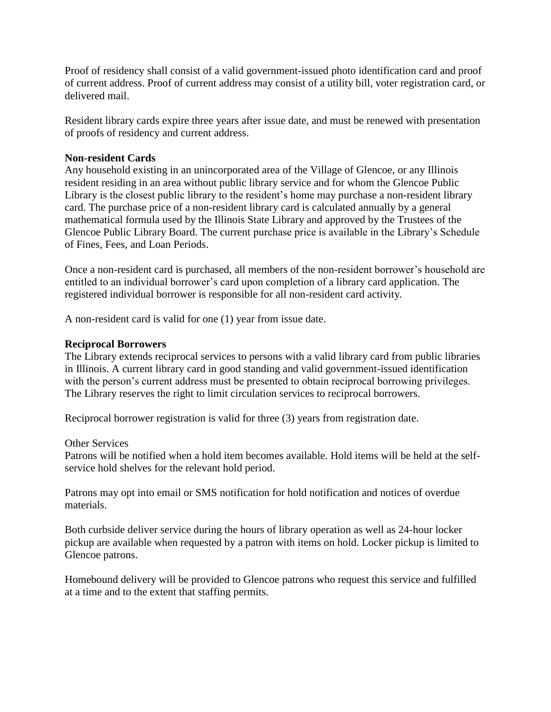Proof of residency shall consist of a valid government-issued photo identification card and proof of current address. Proof of current address may consist of a utility bill, voter registration card, or delivered mail.

Resident library cards expire three years after issue date, and must be renewed with presentation of proofs of residency and current address.

# **Non-resident Cards**

Any household existing in an unincorporated area of the Village of Glencoe, or any Illinois resident residing in an area without public library service and for whom the Glencoe Public Library is the closest public library to the resident's home may purchase a non-resident library card. The purchase price of a non-resident library card is calculated annually by a general mathematical formula used by the Illinois State Library and approved by the Trustees of the Glencoe Public Library Board. The current purchase price is available in the Library's Schedule of Fines, Fees, and Loan Periods.

Once a non-resident card is purchased, all members of the non-resident borrower's household are entitled to an individual borrower's card upon completion of a library card application. The registered individual borrower is responsible for all non-resident card activity.

A non-resident card is valid for one (1) year from issue date.

# **Reciprocal Borrowers**

The Library extends reciprocal services to persons with a valid library card from public libraries in Illinois. A current library card in good standing and valid government-issued identification with the person's current address must be presented to obtain reciprocal borrowing privileges. The Library reserves the right to limit circulation services to reciprocal borrowers.

Reciprocal borrower registration is valid for three (3) years from registration date.

## Other Services

Patrons will be notified when a hold item becomes available. Hold items will be held at the selfservice hold shelves for the relevant hold period.

Patrons may opt into email or SMS notification for hold notification and notices of overdue materials.

Both curbside deliver service during the hours of library operation as well as 24-hour locker pickup are available when requested by a patron with items on hold. Locker pickup is limited to Glencoe patrons.

Homebound delivery will be provided to Glencoe patrons who request this service and fulfilled at a time and to the extent that staffing permits.